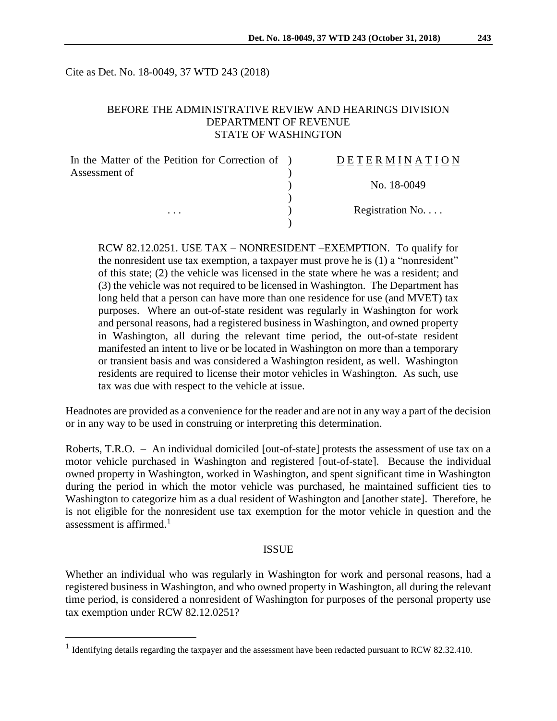Cite as Det. No. 18-0049, 37 WTD 243 (2018)

#### BEFORE THE ADMINISTRATIVE REVIEW AND HEARINGS DIVISION DEPARTMENT OF REVENUE STATE OF WASHINGTON

| In the Matter of the Petition for Correction of ) | DETERMINATION   |
|---------------------------------------------------|-----------------|
| Assessment of                                     |                 |
|                                                   | No. 18-0049     |
|                                                   |                 |
| $\cdots$                                          | Registration No |
|                                                   |                 |

RCW 82.12.0251. USE TAX – NONRESIDENT –EXEMPTION. To qualify for the nonresident use tax exemption, a taxpayer must prove he is (1) a "nonresident" of this state; (2) the vehicle was licensed in the state where he was a resident; and (3) the vehicle was not required to be licensed in Washington. The Department has long held that a person can have more than one residence for use (and MVET) tax purposes. Where an out-of-state resident was regularly in Washington for work and personal reasons, had a registered business in Washington, and owned property in Washington, all during the relevant time period, the out-of-state resident manifested an intent to live or be located in Washington on more than a temporary or transient basis and was considered a Washington resident, as well. Washington residents are required to license their motor vehicles in Washington. As such, use tax was due with respect to the vehicle at issue.

Headnotes are provided as a convenience for the reader and are not in any way a part of the decision or in any way to be used in construing or interpreting this determination.

Roberts, T.R.O. – An individual domiciled [out-of-state] protests the assessment of use tax on a motor vehicle purchased in Washington and registered [out-of-state]. Because the individual owned property in Washington, worked in Washington, and spent significant time in Washington during the period in which the motor vehicle was purchased, he maintained sufficient ties to Washington to categorize him as a dual resident of Washington and [another state]. Therefore, he is not eligible for the nonresident use tax exemption for the motor vehicle in question and the assessment is affirmed.<sup>1</sup>

#### ISSUE

Whether an individual who was regularly in Washington for work and personal reasons, had a registered business in Washington, and who owned property in Washington, all during the relevant time period, is considered a nonresident of Washington for purposes of the personal property use tax exemption under RCW 82.12.0251?

 $\overline{a}$ 

<sup>&</sup>lt;sup>1</sup> Identifying details regarding the taxpayer and the assessment have been redacted pursuant to RCW 82.32.410.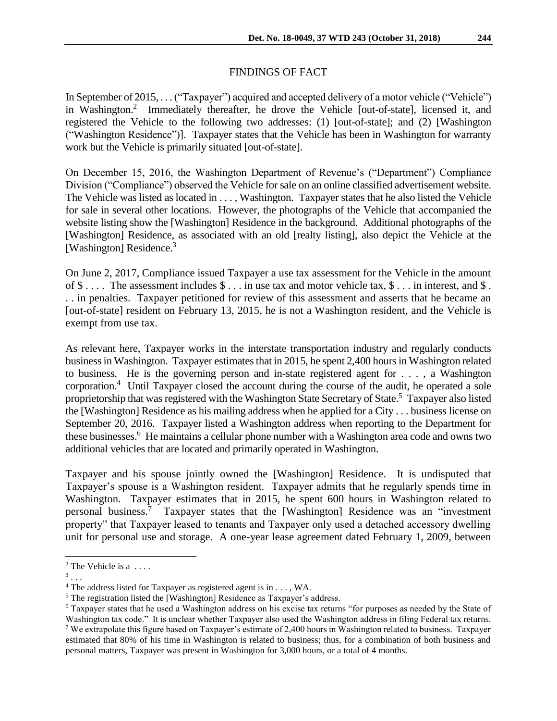In September of 2015, . . .("Taxpayer") acquired and accepted delivery of a motor vehicle ("Vehicle") in Washington.<sup>2</sup> Immediately thereafter, he drove the Vehicle [out-of-state], licensed it, and registered the Vehicle to the following two addresses: (1) [out-of-state]; and (2) [Washington ("Washington Residence")]. Taxpayer states that the Vehicle has been in Washington for warranty work but the Vehicle is primarily situated [out-of-state].

On December 15, 2016, the Washington Department of Revenue's ("Department") Compliance Division ("Compliance") observed the Vehicle for sale on an online classified advertisement website. The Vehicle was listed as located in . . . , Washington. Taxpayer states that he also listed the Vehicle for sale in several other locations. However, the photographs of the Vehicle that accompanied the website listing show the [Washington] Residence in the background. Additional photographs of the [Washington] Residence, as associated with an old [realty listing], also depict the Vehicle at the [Washington] Residence.<sup>3</sup>

On June 2, 2017, Compliance issued Taxpayer a use tax assessment for the Vehicle in the amount of  $\$\ldots$  The assessment includes  $\$\ldots$  in use tax and motor vehicle tax,  $\$\ldots$  in interest, and  $\$\ldots$ . . in penalties. Taxpayer petitioned for review of this assessment and asserts that he became an [out-of-state] resident on February 13, 2015, he is not a Washington resident, and the Vehicle is exempt from use tax.

As relevant here, Taxpayer works in the interstate transportation industry and regularly conducts business in Washington. Taxpayer estimates that in 2015, he spent 2,400 hours in Washington related to business. He is the governing person and in-state registered agent for . . . , a Washington corporation.<sup>4</sup> Until Taxpayer closed the account during the course of the audit, he operated a sole proprietorship that was registered with the Washington State Secretary of State.<sup>5</sup> Taxpayer also listed the [Washington] Residence as his mailing address when he applied for a City . . . business license on September 20, 2016. Taxpayer listed a Washington address when reporting to the Department for these businesses.<sup>6</sup> He maintains a cellular phone number with a Washington area code and owns two additional vehicles that are located and primarily operated in Washington.

Taxpayer and his spouse jointly owned the [Washington] Residence. It is undisputed that Taxpayer's spouse is a Washington resident. Taxpayer admits that he regularly spends time in Washington. Taxpayer estimates that in 2015, he spent 600 hours in Washington related to personal business.<sup>7</sup> Taxpayer states that the [Washington] Residence was an "investment property" that Taxpayer leased to tenants and Taxpayer only used a detached accessory dwelling unit for personal use and storage. A one-year lease agreement dated February 1, 2009, between

 $\overline{a}$ 

 $2$  The Vehicle is a ....

 $3 \ldots$ 

<sup>4</sup> The address listed for Taxpayer as registered agent is in . . . , WA.

<sup>&</sup>lt;sup>5</sup> The registration listed the [Washington] Residence as Taxpayer's address.

<sup>6</sup> Taxpayer states that he used a Washington address on his excise tax returns "for purposes as needed by the State of Washington tax code." It is unclear whether Taxpayer also used the Washington address in filing Federal tax returns. <sup>7</sup> We extrapolate this figure based on Taxpayer's estimate of 2,400 hours in Washington related to business. Taxpayer estimated that 80% of his time in Washington is related to business; thus, for a combination of both business and personal matters, Taxpayer was present in Washington for 3,000 hours, or a total of 4 months.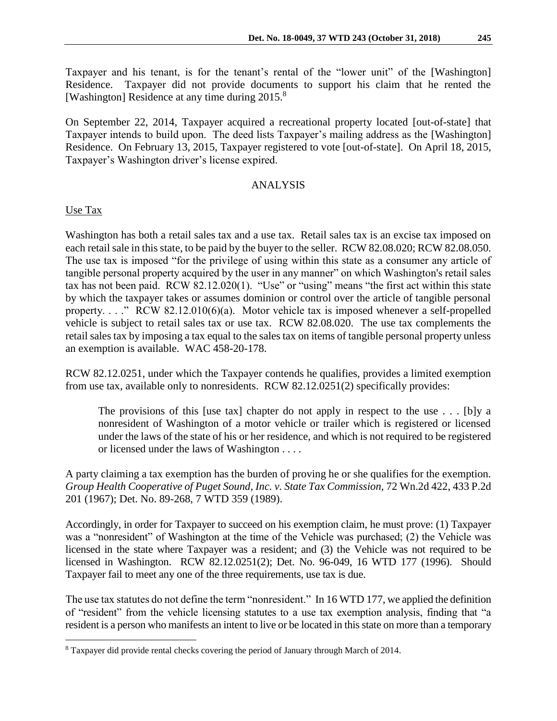Taxpayer and his tenant, is for the tenant's rental of the "lower unit" of the [Washington] Residence. Taxpayer did not provide documents to support his claim that he rented the [Washington] Residence at any time during 2015.<sup>8</sup>

On September 22, 2014, Taxpayer acquired a recreational property located [out-of-state] that Taxpayer intends to build upon. The deed lists Taxpayer's mailing address as the [Washington] Residence. On February 13, 2015, Taxpayer registered to vote [out-of-state]. On April 18, 2015, Taxpayer's Washington driver's license expired.

## ANALYSIS

## Use Tax

 $\overline{a}$ 

Washington has both a retail sales tax and a use tax. Retail sales tax is an excise tax imposed on each retail sale in this state, to be paid by the buyer to the seller. RCW 82.08.020; RCW 82.08.050. The use tax is imposed "for the privilege of using within this state as a consumer any article of tangible personal property acquired by the user in any manner" on which Washington's retail sales tax has not been paid. RCW 82.12.020(1). "Use" or "using" means "the first act within this state by which the taxpayer takes or assumes dominion or control over the article of tangible personal property. . . ." RCW 82.12.010(6)(a). Motor vehicle tax is imposed whenever a self-propelled vehicle is subject to retail sales tax or use tax. RCW 82.08.020. The use tax complements the retail sales tax by imposing a tax equal to the sales tax on items of tangible personal property unless an exemption is available. WAC 458-20-178.

RCW 82.12.0251, under which the Taxpayer contends he qualifies, provides a limited exemption from use tax, available only to nonresidents. RCW 82.12.0251(2) specifically provides:

The provisions of this [use tax] chapter do not apply in respect to the use  $\dots$  [b]y a nonresident of Washington of a motor vehicle or trailer which is registered or licensed under the laws of the state of his or her residence, and which is not required to be registered or licensed under the laws of Washington . . . .

A party claiming a tax exemption has the burden of proving he or she qualifies for the exemption. *Group Health Cooperative of Puget Sound, Inc. v. State Tax Commission,* 72 Wn.2d 422, 433 P.2d 201 (1967); Det. No. 89-268, 7 WTD 359 (1989).

Accordingly, in order for Taxpayer to succeed on his exemption claim, he must prove: (1) Taxpayer was a "nonresident" of Washington at the time of the Vehicle was purchased; (2) the Vehicle was licensed in the state where Taxpayer was a resident; and (3) the Vehicle was not required to be licensed in Washington. RCW 82.12.0251(2); Det. No. 96-049, 16 WTD 177 (1996). Should Taxpayer fail to meet any one of the three requirements, use tax is due.

The use tax statutes do not define the term "nonresident." In 16 WTD 177, we applied the definition of "resident" from the vehicle licensing statutes to a use tax exemption analysis, finding that "a resident is a person who manifests an intent to live or be located in this state on more than a temporary

<sup>8</sup> Taxpayer did provide rental checks covering the period of January through March of 2014.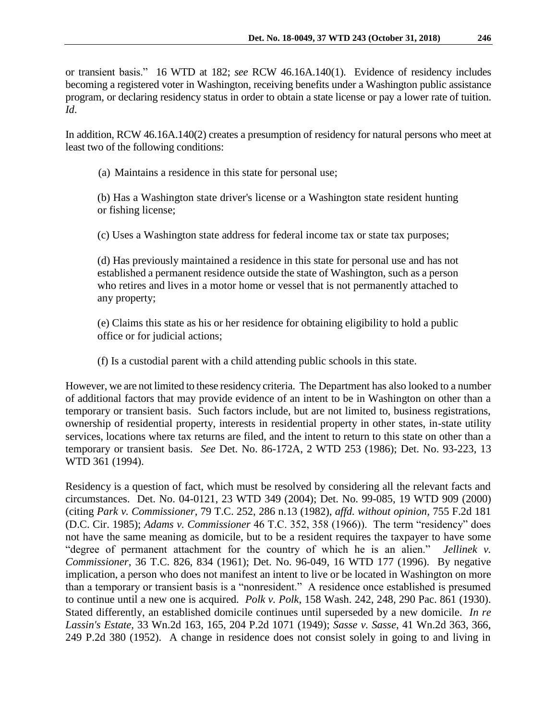or transient basis." 16 WTD at 182; *see* RCW 46.16A.140(1). Evidence of residency includes becoming a registered voter in Washington, receiving benefits under a Washington public assistance program, or declaring residency status in order to obtain a state license or pay a lower rate of tuition. *Id*.

In addition, RCW 46.16A.140(2) creates a presumption of residency for natural persons who meet at least two of the following conditions:

(a) Maintains a residence in this state for personal use;

(b) Has a Washington state driver's license or a Washington state resident hunting or fishing license;

(c) Uses a Washington state address for federal income tax or state tax purposes;

(d) Has previously maintained a residence in this state for personal use and has not established a permanent residence outside the state of Washington, such as a person who retires and lives in a motor home or vessel that is not permanently attached to any property;

(e) Claims this state as his or her residence for obtaining eligibility to hold a public office or for judicial actions;

(f) Is a custodial parent with a child attending public schools in this state.

However, we are not limited to these residency criteria. The Department has also looked to a number of additional factors that may provide evidence of an intent to be in Washington on other than a temporary or transient basis. Such factors include, but are not limited to, business registrations, ownership of residential property, interests in residential property in other states, in-state utility services, locations where tax returns are filed, and the intent to return to this state on other than a temporary or transient basis. *See* Det. No. 86-172A, 2 WTD 253 (1986); Det. No. 93-223, 13 WTD 361 (1994).

Residency is a question of fact, which must be resolved by considering all the relevant facts and circumstances. Det. No. 04-0121, 23 WTD 349 (2004); Det. No. 99-085, 19 WTD 909 (2000) (citing *Park v. Commissioner*, 79 T.C. 252, 286 n.13 (1982), *affd. without opinion,* 755 F.2d 181 (D.C. Cir. 1985); *Adams v. Commissioner* 46 T.C. 352, 358 (1966)). The term "residency" does not have the same meaning as domicile, but to be a resident requires the taxpayer to have some "degree of permanent attachment for the country of which he is an alien." *Jellinek v. Commissioner*, 36 T.C. 826, 834 (1961); Det. No. 96-049, 16 WTD 177 (1996). By negative implication, a person who does not manifest an intent to live or be located in Washington on more than a temporary or transient basis is a "nonresident." A residence once established is presumed to continue until a new one is acquired. *Polk v. Polk*, 158 Wash. 242, 248, 290 Pac. 861 (1930). Stated differently, an established domicile continues until superseded by a new domicile. *In re Lassin's Estate*, 33 Wn.2d 163, 165, 204 P.2d 1071 (1949); *Sasse v. Sasse*, 41 Wn.2d 363, 366, 249 P.2d 380 (1952). A change in residence does not consist solely in going to and living in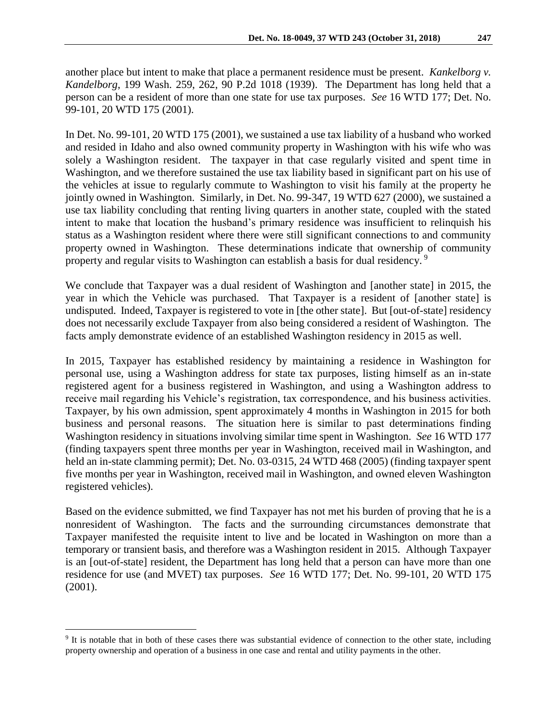another place but intent to make that place a permanent residence must be present. *Kankelborg v. Kandelborg*, 199 Wash. 259, 262, 90 P.2d 1018 (1939). The Department has long held that a person can be a resident of more than one state for use tax purposes. *See* 16 WTD 177; Det. No. 99-101, 20 WTD 175 (2001).

In Det. No. 99-101, 20 WTD 175 (2001), we sustained a use tax liability of a husband who worked and resided in Idaho and also owned community property in Washington with his wife who was solely a Washington resident. The taxpayer in that case regularly visited and spent time in Washington, and we therefore sustained the use tax liability based in significant part on his use of the vehicles at issue to regularly commute to Washington to visit his family at the property he jointly owned in Washington. Similarly, in Det. No. 99-347, 19 WTD 627 (2000), we sustained a use tax liability concluding that renting living quarters in another state, coupled with the stated intent to make that location the husband's primary residence was insufficient to relinquish his status as a Washington resident where there were still significant connections to and community property owned in Washington. These determinations indicate that ownership of community property and regular visits to Washington can establish a basis for dual residency.<sup>9</sup>

We conclude that Taxpayer was a dual resident of Washington and [another state] in 2015, the year in which the Vehicle was purchased. That Taxpayer is a resident of [another state] is undisputed. Indeed, Taxpayer is registered to vote in [the other state]. But [out-of-state] residency does not necessarily exclude Taxpayer from also being considered a resident of Washington. The facts amply demonstrate evidence of an established Washington residency in 2015 as well.

In 2015, Taxpayer has established residency by maintaining a residence in Washington for personal use, using a Washington address for state tax purposes, listing himself as an in-state registered agent for a business registered in Washington, and using a Washington address to receive mail regarding his Vehicle's registration, tax correspondence, and his business activities. Taxpayer, by his own admission, spent approximately 4 months in Washington in 2015 for both business and personal reasons. The situation here is similar to past determinations finding Washington residency in situations involving similar time spent in Washington. *See* 16 WTD 177 (finding taxpayers spent three months per year in Washington, received mail in Washington, and held an in-state clamming permit); Det. No. 03-0315, 24 WTD 468 (2005) (finding taxpayer spent five months per year in Washington, received mail in Washington, and owned eleven Washington registered vehicles).

Based on the evidence submitted, we find Taxpayer has not met his burden of proving that he is a nonresident of Washington. The facts and the surrounding circumstances demonstrate that Taxpayer manifested the requisite intent to live and be located in Washington on more than a temporary or transient basis, and therefore was a Washington resident in 2015. Although Taxpayer is an [out-of-state] resident, the Department has long held that a person can have more than one residence for use (and MVET) tax purposes. *See* 16 WTD 177; Det. No. 99-101, 20 WTD 175 (2001).

 $\overline{a}$ 

<sup>&</sup>lt;sup>9</sup> It is notable that in both of these cases there was substantial evidence of connection to the other state, including property ownership and operation of a business in one case and rental and utility payments in the other.